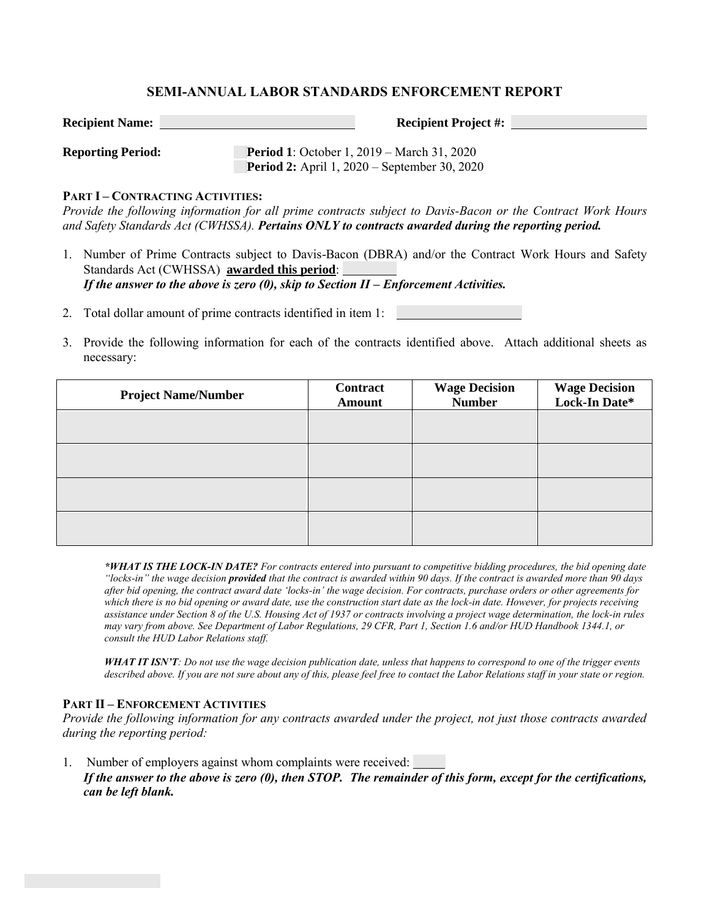## **SEMI-ANNUAL LABOR STANDARDS ENFORCEMENT REPORT**

**Recipient Name: Recipient Project #:**

**Reporting Period: Period 1**: October 1, 2019 – March 31, 2020 **Period 2:** April 1, 2020 – September 30, 2020

### **PART I – CONTRACTING ACTIVITIES:**

*Provide the following information for all prime contracts subject to Davis-Bacon or the Contract Work Hours and Safety Standards Act (CWHSSA). Pertains ONLY to contracts awarded during the reporting period.* 

1. Number of Prime Contracts subject to Davis-Bacon (DBRA) and/or the Contract Work Hours and Safety Standards Act (CWHSSA) **awarded this period**: *If the answer to the above is zero (0), skip to Section II – Enforcement Activities.* 

2. Total dollar amount of prime contracts identified in item 1:

3. Provide the following information for each of the contracts identified above. Attach additional sheets as necessary:

| <b>Project Name/Number</b> | Contract<br><b>Amount</b> | <b>Wage Decision</b><br><b>Number</b> | <b>Wage Decision<br/>Lock-In Date*</b> |
|----------------------------|---------------------------|---------------------------------------|----------------------------------------|
|                            |                           |                                       |                                        |
|                            |                           |                                       |                                        |
|                            |                           |                                       |                                        |
|                            |                           |                                       |                                        |

*\*WHAT IS THE LOCK-IN DATE? For contracts entered into pursuant to competitive bidding procedures, the bid opening date "locks-in" the wage decision provided that the contract is awarded within 90 days. If the contract is awarded more than 90 days after bid opening, the contract award date 'locks-in' the wage decision. For contracts, purchase orders or other agreements for which there is no bid opening or award date, use the construction start date as the lock-in date. However, for projects receiving assistance under Section 8 of the U.S. Housing Act of 1937 or contracts involving a project wage determination, the lock-in rules may vary from above. See Department of Labor Regulations, 29 CFR, Part 1, Section 1.6 and/or HUD Handbook 1344.1, or consult the HUD Labor Relations staff.*

*WHAT IT ISN'T: Do not use the wage decision publication date, unless that happens to correspond to one of the trigger events described above. If you are not sure about any of this, please feel free to contact the Labor Relations staff in your state or region.* 

### **PART II – ENFORCEMENT ACTIVITIES**

*Provide the following information for any contracts awarded under the project, not just those contracts awarded during the reporting period:*

1. Number of employers against whom complaints were received: *If the answer to the above is zero (0), then STOP. The remainder of this form, except for the certifications, can be left blank.*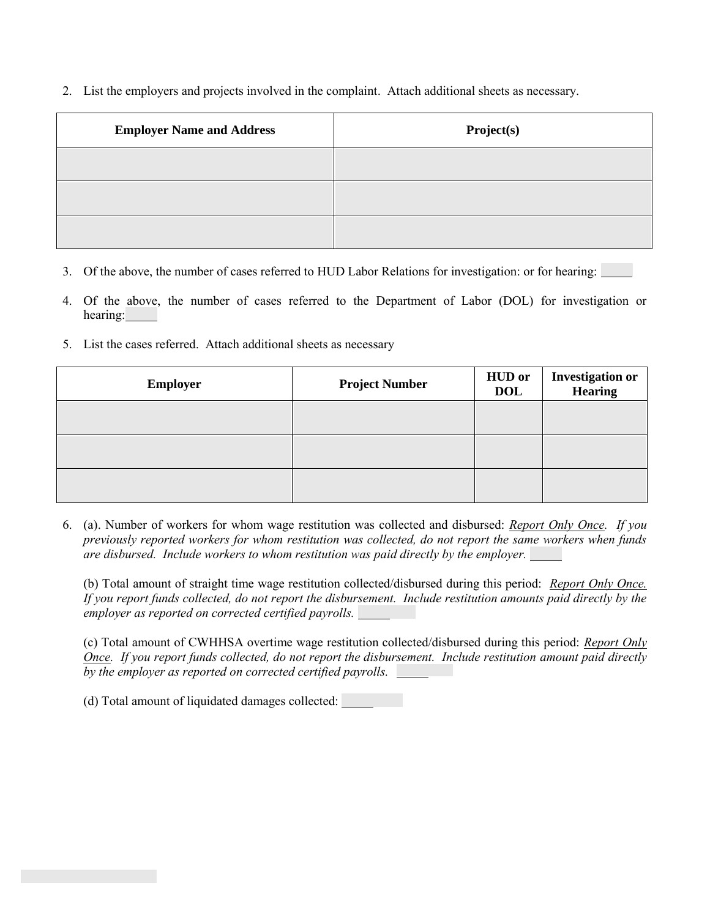2. List the employers and projects involved in the complaint. Attach additional sheets as necessary.

| <b>Employer Name and Address</b> | Project(s) |
|----------------------------------|------------|
|                                  |            |
|                                  |            |
|                                  |            |

- 3. Of the above, the number of cases referred to HUD Labor Relations for investigation: or for hearing:
- 4. Of the above, the number of cases referred to the Department of Labor (DOL) for investigation or hearing:
- 5. List the cases referred. Attach additional sheets as necessary

| <b>Employer</b> | <b>Project Number</b> | <b>HUD</b> or<br><b>DOL</b> | <b>Investigation or<br/>Hearing</b> |
|-----------------|-----------------------|-----------------------------|-------------------------------------|
|                 |                       |                             |                                     |
|                 |                       |                             |                                     |
|                 |                       |                             |                                     |

6. (a). Number of workers for whom wage restitution was collected and disbursed: *Report Only Once. If you previously reported workers for whom restitution was collected, do not report the same workers when funds are disbursed. Include workers to whom restitution was paid directly by the employer.*

(b) Total amount of straight time wage restitution collected/disbursed during this period: *Report Only Once. If you report funds collected, do not report the disbursement. Include restitution amounts paid directly by the employer as reported on corrected certified payrolls.*

(c) Total amount of CWHHSA overtime wage restitution collected/disbursed during this period: *Report Only Once. If you report funds collected, do not report the disbursement. Include restitution amount paid directly by the employer as reported on corrected certified payrolls.*

(d) Total amount of liquidated damages collected: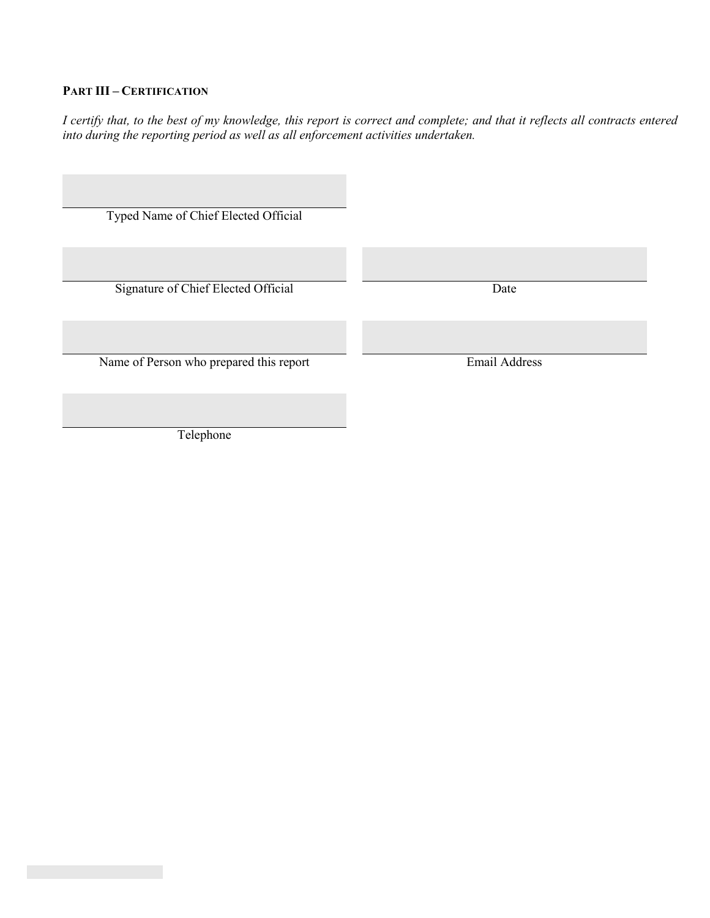# **PART III – CERTIFICATION**

*I certify that, to the best of my knowledge, this report is correct and complete; and that it reflects all contracts entered into during the reporting period as well as all enforcement activities undertaken.* 

| Typed Name of Chief Elected Official    |                      |
|-----------------------------------------|----------------------|
| Signature of Chief Elected Official     | Date                 |
| Name of Person who prepared this report | <b>Email Address</b> |
| Telephone                               |                      |